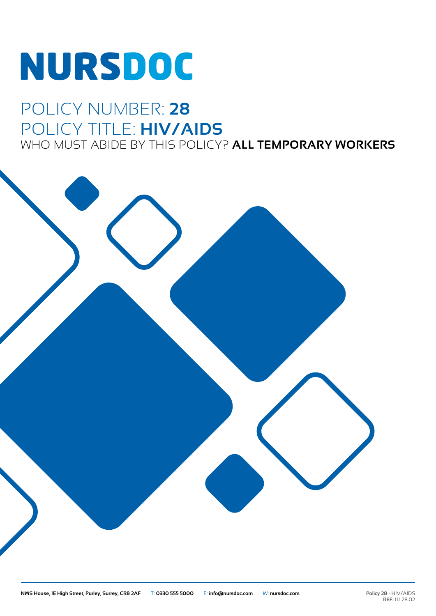# **NURSDOC**

## POLICY NUMBER: **28** POLICY TITLE: **HIV/AIDS**

WHO MUST ABIDE BY THIS POLICY? **ALL TEMPORARY WORKERS**